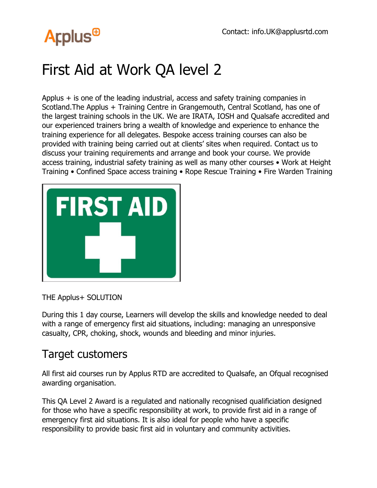## **Arplus<sup>®</sup>**

## First Aid at Work QA level 2

Applus + is one of the leading industrial, access and safety training companies in Scotland.The Applus + Training Centre in Grangemouth, Central Scotland, has one of the largest training schools in the UK. We are IRATA, IOSH and Qualsafe accredited and our experienced trainers bring a wealth of knowledge and experience to enhance the training experience for all delegates. Bespoke access training courses can also be provided with training being carried out at clients' sites when required. Contact us to discuss your training requirements and arrange and book your course. We provide access training, industrial safety training as well as many other courses • Work at Height Training • Confined Space access training • Rope Rescue Training • Fire Warden Training



THE Applus+ SOLUTION

During this 1 day course, Learners will develop the skills and knowledge needed to deal with a range of emergency first aid situations, including: managing an unresponsive casualty, CPR, choking, shock, wounds and bleeding and minor injuries.

## Target customers

All first aid courses run by Applus RTD are accredited to Qualsafe, an Ofqual recognised awarding organisation.

This QA Level 2 Award is a regulated and nationally recognised qualificiation designed for those who have a specific responsibility at work, to provide first aid in a range of emergency first aid situations. It is also ideal for people who have a specific responsibility to provide basic first aid in voluntary and community activities.